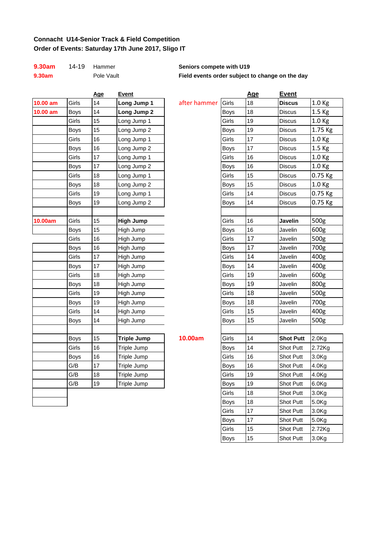### **Connacht U14-Senior Track & Field Competition Order of Events: Saturday 17th June 2017, Sligo IT**

| 9.30am | 14-19 | Ha |  |
|--------|-------|----|--|
| 0.20cm |       | De |  |

|            |             | <u>Age</u> | <u>Event</u>       |
|------------|-------------|------------|--------------------|
| $10.00$ am | Girls       | 14         | Long Jump 1        |
| $10.00$ am | <b>Boys</b> | 14         | Long Jump 2        |
|            | Girls       | 15         | Long Jump 1        |
|            | <b>Boys</b> | 15         | Long Jump 2        |
|            | Girls       | 16         | Long Jump 1        |
|            | Boys        | 16         | Long Jump 2        |
|            | Girls       | 17         | Long Jump 1        |
|            | <b>Boys</b> | 17         | Long Jump 2        |
|            | Girls       | 18         | Long Jump 1        |
|            | Boys        | 18         | Long Jump 2        |
|            | Girls       | 19         | Long Jump 1        |
|            | Boys        | 19         | Long Jump 2        |
|            |             |            |                    |
| 10.00am    | Girls       | 15         | <b>High Jump</b>   |
|            | <b>Boys</b> | 15         | High Jump          |
|            | Girls       | 16         | High Jump          |
|            | <b>Boys</b> | 16         | High Jump          |
|            | Girls       | 17         | High Jump          |
|            | <b>Boys</b> | 17         | High Jump          |
|            | Girls       | 18         | High Jump          |
|            | <b>Boys</b> | 18         | High Jump          |
|            | Girls       | 19         | High Jump          |
|            | Boys        | 19         | High Jump          |
|            | Girls       | 14         | High Jump          |
|            | Boys        | 14         | High Jump          |
|            |             |            |                    |
|            | <b>Boys</b> | 15         | <b>Triple Jump</b> |
|            | Girls       | 16         | Triple Jump        |
|            | <b>Boys</b> | 16         | Triple Jump        |
|            | G/B         | 17         | Triple Jump        |
|            | G/B         | 18         | Triple Jump        |
|            | G/B         | 19         | Triple Jump        |
|            |             |            |                    |
|            |             |            |                    |

| 9.30am     | $14 - 19$   | Hammer     |                    | Seniors compete with U19                        |             |            |                  |                   |
|------------|-------------|------------|--------------------|-------------------------------------------------|-------------|------------|------------------|-------------------|
| 9.30am     |             | Pole Vault |                    | Field events order subject to change on the day |             |            |                  |                   |
|            |             | <b>Age</b> | <b>Event</b>       |                                                 |             | <u>Age</u> | <b>Event</b>     |                   |
| $10.00$ am | Girls       | 14         | Long Jump 1        | after hammer                                    | Girls       | 18         | <b>Discus</b>    | 1.0 Kg            |
| 10.00 am   | <b>Boys</b> | 14         | Long Jump 2        |                                                 | <b>Boys</b> | 18         | Discus           | 1.5 <sub>kg</sub> |
|            | Girls       | 15         | Long Jump 1        |                                                 | Girls       | 19         | Discus           | 1.0 <sub>Kg</sub> |
|            | <b>Boys</b> | 15         | Long Jump 2        |                                                 | <b>Boys</b> | 19         | Discus           | 1.75 Kg           |
|            | Girls       | 16         | Long Jump 1        |                                                 | Girls       | 17         | Discus           | 1.0 Kg            |
|            | <b>Boys</b> | 16         | Long Jump 2        |                                                 | <b>Boys</b> | 17         | <b>Discus</b>    | 1.5 Kg            |
|            | Girls       | 17         | Long Jump 1        |                                                 | Girls       | 16         | <b>Discus</b>    | 1.0 Kg            |
|            | Boys        | 17         | Long Jump 2        |                                                 | <b>Boys</b> | 16         | Discus           | 1.0 <sub>Kg</sub> |
|            | Girls       | 18         | Long Jump 1        |                                                 | Girls       | 15         | <b>Discus</b>    | 0.75 Kg           |
|            | Boys        | 18         | Long Jump 2        |                                                 | Boys        | 15         | Discus           | 1.0 <sub>Kg</sub> |
|            | Girls       | 19         | Long Jump 1        |                                                 | Girls       | 14         | Discus           | $0.75$ Kg         |
|            | Boys        | 19         | Long Jump 2        |                                                 | Boys        | 14         | <b>Discus</b>    | 0.75 Kg           |
|            |             |            |                    |                                                 |             |            |                  |                   |
| 10.00am    | Girls       | 15         | <b>High Jump</b>   |                                                 | Girls       | 16         | Javelin          | 500g              |
|            | Boys        | 15         | High Jump          |                                                 | <b>Boys</b> | 16         | Javelin          | 600g              |
|            | Girls       | 16         | High Jump          |                                                 | Girls       | 17         | Javelin          | 500g              |
|            | Boys        | 16         | High Jump          |                                                 | Boys        | 17         | Javelin          | 700g              |
|            | Girls       | 17         | High Jump          |                                                 | Girls       | 14         | Javelin          | 400g              |
|            | Boys        | $17\,$     | High Jump          |                                                 | <b>Boys</b> | 14         | Javelin          | 400g              |
|            | Girls       | 18         | High Jump          |                                                 | Girls       | 19         | Javelin          | 600g              |
|            | Boys        | 18         | High Jump          |                                                 | <b>Boys</b> | 19         | Javelin          | 800g              |
|            | Girls       | 19         | High Jump          |                                                 | Girls       | 18         | Javelin          | 500g              |
|            | <b>Boys</b> | 19         | High Jump          |                                                 | <b>Boys</b> | 18         | Javelin          | 700g              |
|            | Girls       | 14         | High Jump          |                                                 | Girls       | 15         | Javelin          | 400g              |
|            | Boys        | 14         | High Jump          |                                                 | Boys        | 15         | Javelin          | 500g              |
|            |             |            |                    |                                                 |             |            |                  |                   |
|            | <b>Boys</b> | 15         | <b>Triple Jump</b> | 10.00am                                         | Girls       | 14         | <b>Shot Putt</b> | 2.0 <sub>Kg</sub> |
|            | Girls       | 16         | Triple Jump        |                                                 | <b>Boys</b> | 14         | <b>Shot Putt</b> | 2.72Kg            |
|            | <b>Boys</b> | 16         | Triple Jump        |                                                 | Girls       | 16         | Shot Putt        | 3.0Kg             |
|            | G/B         | 17         | Triple Jump        |                                                 | <b>Boys</b> | 16         | Shot Putt        | 4.0Kg             |
|            | G/B         | 18         | Triple Jump        |                                                 | Girls       | 19         | Shot Putt        | 4.0Kg             |
|            | G/B         | 19         | Triple Jump        |                                                 | <b>Boys</b> | 19         | Shot Putt        | 6.0Kg             |
|            |             |            |                    |                                                 | Girls       | 18         | Shot Putt        | 3.0 <sub>Kg</sub> |
|            |             |            |                    |                                                 | <b>Boys</b> | 18         | Shot Putt        | 5.0Kg             |
|            |             |            |                    |                                                 | Girls       | 17         | Shot Putt        | 3.0Kg             |
|            |             |            |                    |                                                 | <b>Boys</b> | 17         | Shot Putt        | 5.0Kg             |
|            |             |            |                    |                                                 | Girls       | 15         | Shot Putt        | 2.72Kg            |
|            |             |            |                    |                                                 | <b>Boys</b> | 15         | Shot Putt        | 3.0 <sub>Kg</sub> |